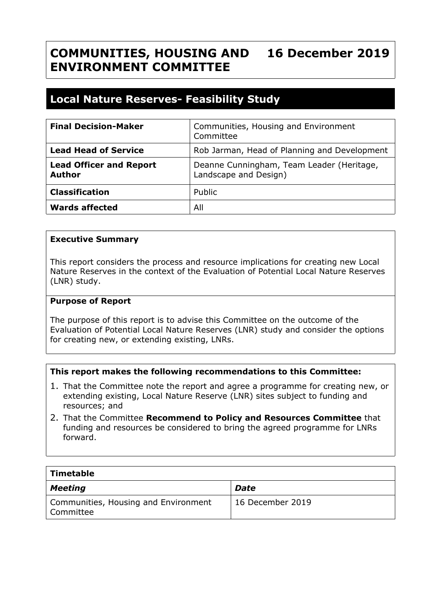#### **COMMUNITIES, HOUSING AND ENVIRONMENT COMMITTEE 16 December 2019**

# **Local Nature Reserves- Feasibility Study**

| <b>Final Decision-Maker</b>                     | Communities, Housing and Environment<br>Committee                  |
|-------------------------------------------------|--------------------------------------------------------------------|
| <b>Lead Head of Service</b>                     | Rob Jarman, Head of Planning and Development                       |
| <b>Lead Officer and Report</b><br><b>Author</b> | Deanne Cunningham, Team Leader (Heritage,<br>Landscape and Design) |
| <b>Classification</b>                           | Public                                                             |
| <b>Wards affected</b>                           | All                                                                |

#### **Executive Summary**

This report considers the process and resource implications for creating new Local Nature Reserves in the context of the Evaluation of Potential Local Nature Reserves (LNR) study.

#### **Purpose of Report**

The purpose of this report is to advise this Committee on the outcome of the Evaluation of Potential Local Nature Reserves (LNR) study and consider the options for creating new, or extending existing, LNRs.

## **This report makes the following recommendations to this Committee:**

- 1. That the Committee note the report and agree a programme for creating new, or extending existing, Local Nature Reserve (LNR) sites subject to funding and resources; and
- 2. That the Committee **Recommend to Policy and Resources Committee** that funding and resources be considered to bring the agreed programme for LNRs forward.

| Timetable                                           |                  |
|-----------------------------------------------------|------------------|
| Meeting                                             | Date             |
| Communities, Housing and Environment<br>  Committee | 16 December 2019 |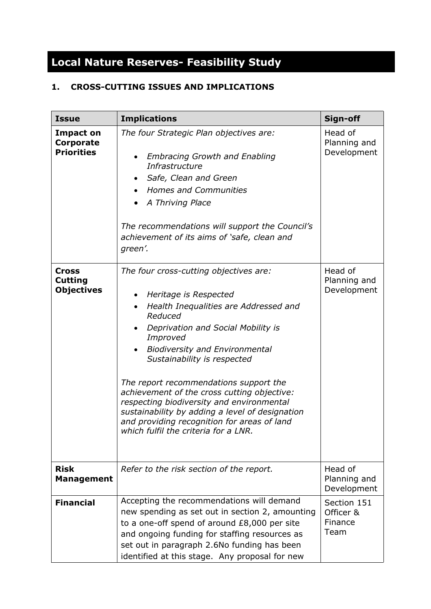# **Local Nature Reserves- Feasibility Study**

# **1. CROSS-CUTTING ISSUES AND IMPLICATIONS**

| <b>Issue</b>                                              | <b>Implications</b>                                                                                                                                                                                                                                                                                                                                                                                                                                                                                                                                     | Sign-off                                    |
|-----------------------------------------------------------|---------------------------------------------------------------------------------------------------------------------------------------------------------------------------------------------------------------------------------------------------------------------------------------------------------------------------------------------------------------------------------------------------------------------------------------------------------------------------------------------------------------------------------------------------------|---------------------------------------------|
| <b>Impact on</b><br><b>Corporate</b><br><b>Priorities</b> | The four Strategic Plan objectives are:<br><b>Embracing Growth and Enabling</b><br>Infrastructure<br>Safe, Clean and Green<br>٠<br><b>Homes and Communities</b><br>A Thriving Place<br>The recommendations will support the Council's<br>achievement of its aims of 'safe, clean and<br>green'.                                                                                                                                                                                                                                                         | Head of<br>Planning and<br>Development      |
| <b>Cross</b><br><b>Cutting</b><br><b>Objectives</b>       | The four cross-cutting objectives are:<br>Heritage is Respected<br>$\bullet$<br>Health Inequalities are Addressed and<br>$\bullet$<br>Reduced<br>Deprivation and Social Mobility is<br>Improved<br><b>Biodiversity and Environmental</b><br>Sustainability is respected<br>The report recommendations support the<br>achievement of the cross cutting objective:<br>respecting biodiversity and environmental<br>sustainability by adding a level of designation<br>and providing recognition for areas of land<br>which fulfil the criteria for a LNR. | Head of<br>Planning and<br>Development      |
| <b>Risk</b><br><b>Management</b>                          | Refer to the risk section of the report.                                                                                                                                                                                                                                                                                                                                                                                                                                                                                                                | Head of<br>Planning and<br>Development      |
| <b>Financial</b>                                          | Accepting the recommendations will demand<br>new spending as set out in section 2, amounting<br>to a one-off spend of around £8,000 per site<br>and ongoing funding for staffing resources as<br>set out in paragraph 2.6No funding has been<br>identified at this stage. Any proposal for new                                                                                                                                                                                                                                                          | Section 151<br>Officer &<br>Finance<br>Team |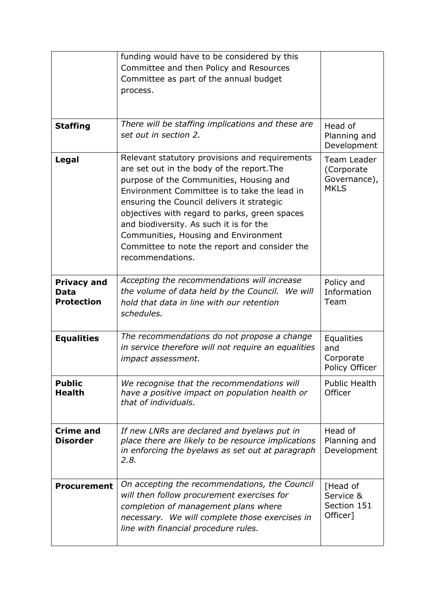|                                                        | funding would have to be considered by this<br>Committee and then Policy and Resources<br>Committee as part of the annual budget<br>process.                                                                                                                                                                                                                                                                                                   |                                                          |
|--------------------------------------------------------|------------------------------------------------------------------------------------------------------------------------------------------------------------------------------------------------------------------------------------------------------------------------------------------------------------------------------------------------------------------------------------------------------------------------------------------------|----------------------------------------------------------|
| <b>Staffing</b>                                        | There will be staffing implications and these are<br>set out in section 2.                                                                                                                                                                                                                                                                                                                                                                     | Head of<br>Planning and<br>Development                   |
| Legal                                                  | Relevant statutory provisions and requirements<br>are set out in the body of the report. The<br>purpose of the Communities, Housing and<br>Environment Committee is to take the lead in<br>ensuring the Council delivers it strategic<br>objectives with regard to parks, green spaces<br>and biodiversity. As such it is for the<br>Communities, Housing and Environment<br>Committee to note the report and consider the<br>recommendations. | Team Leader<br>(Corporate<br>Governance),<br><b>MKLS</b> |
| <b>Privacy and</b><br><b>Data</b><br><b>Protection</b> | Accepting the recommendations will increase<br>the volume of data held by the Council. We will<br>hold that data in line with our retention<br>schedules.                                                                                                                                                                                                                                                                                      | Policy and<br>Information<br>Team                        |
| <b>Equalities</b>                                      | The recommendations do not propose a change<br>in service therefore will not require an equalities<br>impact assessment.                                                                                                                                                                                                                                                                                                                       | <b>Equalities</b><br>and<br>Corporate<br>Policy Officer  |
| <b>Public</b><br><b>Health</b>                         | We recognise that the recommendations will<br>have a positive impact on population health or<br>that of individuals.                                                                                                                                                                                                                                                                                                                           | <b>Public Health</b><br>Officer                          |
| <b>Crime and</b><br><b>Disorder</b>                    | If new LNRs are declared and byelaws put in<br>place there are likely to be resource implications<br>in enforcing the byelaws as set out at paragraph<br>2.8.                                                                                                                                                                                                                                                                                  | Head of<br>Planning and<br>Development                   |
| <b>Procurement</b>                                     | On accepting the recommendations, the Council<br>will then follow procurement exercises for<br>completion of management plans where<br>necessary. We will complete those exercises in<br>line with financial procedure rules.                                                                                                                                                                                                                  | [Head of<br>Service &<br>Section 151<br>Officer]         |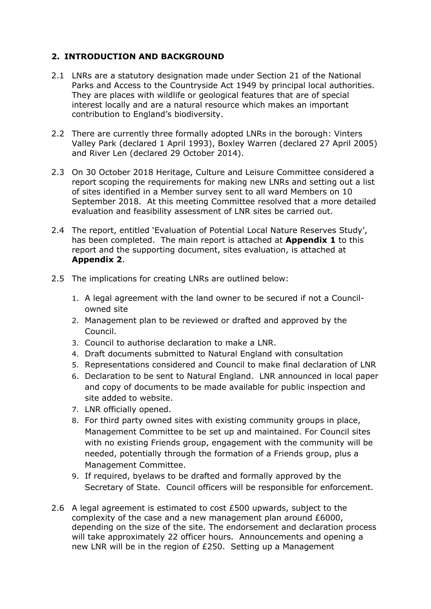## **2. INTRODUCTION AND BACKGROUND**

- 2.1 LNRs are a statutory designation made under Section 21 of the National Parks and Access to the Countryside Act 1949 by principal local authorities. They are places with wildlife or geological features that are of special interest locally and are a natural resource which makes an important contribution to England's biodiversity.
- 2.2 There are currently three formally adopted LNRs in the borough: Vinters Valley Park (declared 1 April 1993), Boxley Warren (declared 27 April 2005) and River Len (declared 29 October 2014).
- 2.3 On 30 October 2018 Heritage, Culture and Leisure Committee considered a report scoping the requirements for making new LNRs and setting out a list of sites identified in a Member survey sent to all ward Members on 10 September 2018. At this meeting Committee resolved that a more detailed evaluation and feasibility assessment of LNR sites be carried out.
- 2.4 The report, entitled 'Evaluation of Potential Local Nature Reserves Study', has been completed. The main report is attached at **Appendix 1** to this report and the supporting document, sites evaluation, is attached at **Appendix 2**.
- 2.5 The implications for creating LNRs are outlined below:
	- 1. A legal agreement with the land owner to be secured if not a Councilowned site
	- 2. Management plan to be reviewed or drafted and approved by the Council.
	- 3. Council to authorise declaration to make a LNR.
	- 4. Draft documents submitted to Natural England with consultation
	- 5. Representations considered and Council to make final declaration of LNR
	- 6. Declaration to be sent to Natural England. LNR announced in local paper and copy of documents to be made available for public inspection and site added to website.
	- 7. LNR officially opened.
	- 8. For third party owned sites with existing community groups in place, Management Committee to be set up and maintained. For Council sites with no existing Friends group, engagement with the community will be needed, potentially through the formation of a Friends group, plus a Management Committee.
	- 9. If required, byelaws to be drafted and formally approved by the Secretary of State. Council officers will be responsible for enforcement.
- 2.6 A legal agreement is estimated to cost £500 upwards, subject to the complexity of the case and a new management plan around £6000, depending on the size of the site. The endorsement and declaration process will take approximately 22 officer hours. Announcements and opening a new LNR will be in the region of £250. Setting up a Management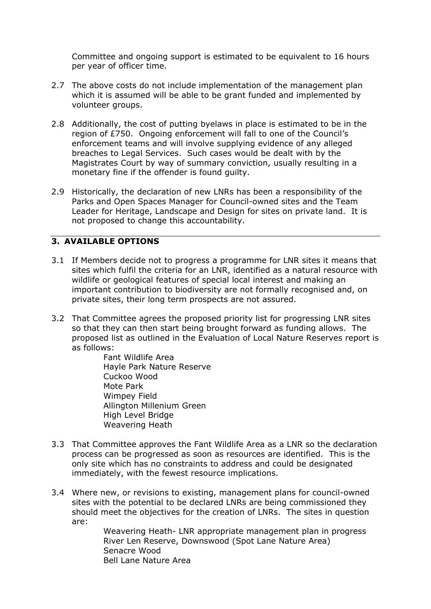Committee and ongoing support is estimated to be equivalent to 16 hours per year of officer time.

- 2.7 The above costs do not include implementation of the management plan which it is assumed will be able to be grant funded and implemented by volunteer groups.
- 2.8 Additionally, the cost of putting byelaws in place is estimated to be in the region of £750. Ongoing enforcement will fall to one of the Council's enforcement teams and will involve supplying evidence of any alleged breaches to Legal Services. Such cases would be dealt with by the Magistrates Court by way of summary conviction, usually resulting in a monetary fine if the offender is found guilty.
- 2.9 Historically, the declaration of new LNRs has been a responsibility of the Parks and Open Spaces Manager for Council-owned sites and the Team Leader for Heritage, Landscape and Design for sites on private land. It is not proposed to change this accountability.

## **3. AVAILABLE OPTIONS**

- 3.1 If Members decide not to progress a programme for LNR sites it means that sites which fulfil the criteria for an LNR, identified as a natural resource with wildlife or geological features of special local interest and making an important contribution to biodiversity are not formally recognised and, on private sites, their long term prospects are not assured.
- 3.2 That Committee agrees the proposed priority list for progressing LNR sites so that they can then start being brought forward as funding allows. The proposed list as outlined in the Evaluation of Local Nature Reserves report is as follows:

Fant Wildlife Area Hayle Park Nature Reserve Cuckoo Wood Mote Park Wimpey Field Allington Millenium Green High Level Bridge Weavering Heath

- 3.3 That Committee approves the Fant Wildlife Area as a LNR so the declaration process can be progressed as soon as resources are identified. This is the only site which has no constraints to address and could be designated immediately, with the fewest resource implications.
- 3.4 Where new, or revisions to existing, management plans for council-owned sites with the potential to be declared LNRs are being commissioned they should meet the objectives for the creation of LNRs. The sites in question are:

Weavering Heath- LNR appropriate management plan in progress River Len Reserve, Downswood (Spot Lane Nature Area) Senacre Wood Bell Lane Nature Area